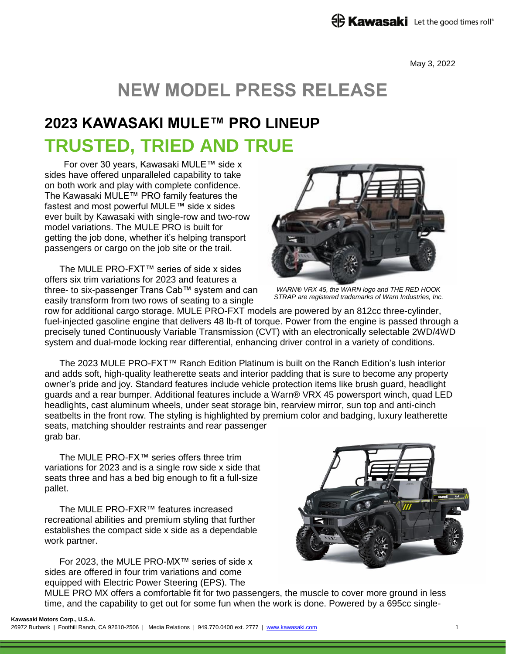May 3, 2022

# **NEW MODEL PRESS RELEASE**

## **2023 KAWASAKI MULE™ PRO LINEUP TRUSTED, TRIED AND TRUE**

For over 30 years, Kawasaki MULE™ side x sides have offered unparalleled capability to take on both work and play with complete confidence. The Kawasaki MULE™ PRO family features the fastest and most powerful MULE™ side x sides ever built by Kawasaki with single-row and two-row model variations. The MULE PRO is built for getting the job done, whether it's helping transport passengers or cargo on the job site or the trail.

The MULE PRO-FXT™ series of side x sides offers six trim variations for 2023 and features a three- to six-passenger Trans Cab™ system and can easily transform from two rows of seating to a single



*WARN® VRX 45, the WARN logo and THE RED HOOK STRAP are registered trademarks of Warn Industries, Inc.*

row for additional cargo storage. MULE PRO-FXT models are powered by an 812cc three-cylinder, fuel-injected gasoline engine that delivers 48 lb-ft of torque. Power from the engine is passed through a precisely tuned Continuously Variable Transmission (CVT) with an electronically selectable 2WD/4WD system and dual-mode locking rear differential, enhancing driver control in a variety of conditions.

The 2023 MULE PRO-FXT™ Ranch Edition Platinum is built on the Ranch Edition's lush interior and adds soft, high-quality leatherette seats and interior padding that is sure to become any property owner's pride and joy. Standard features include vehicle protection items like brush guard, headlight guards and a rear bumper. Additional features include a Warn® VRX 45 powersport winch, quad LED headlights, cast aluminum wheels, under seat storage bin, rearview mirror, sun top and anti-cinch seatbelts in the front row. The styling is highlighted by premium color and badging, luxury leatherette seats, matching shoulder restraints and rear passenger grab bar.

The MULE PRO-FX™ series offers three trim variations for 2023 and is a single row side x side that seats three and has a bed big enough to fit a full-size pallet.

The MULE PRO-FXR™ features increased recreational abilities and premium styling that further establishes the compact side x side as a dependable work partner.

For 2023, the MULE PRO-MX™ series of side x sides are offered in four trim variations and come equipped with Electric Power Steering (EPS). The



MULE PRO MX offers a comfortable fit for two passengers, the muscle to cover more ground in less time, and the capability to get out for some fun when the work is done. Powered by a 695cc single-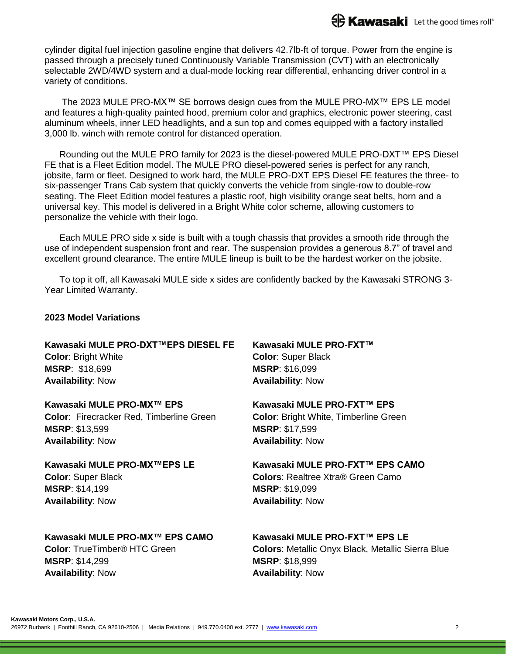cylinder digital fuel injection gasoline engine that delivers 42.7lb-ft of torque. Power from the engine is passed through a precisely tuned Continuously Variable Transmission (CVT) with an electronically selectable 2WD/4WD system and a dual-mode locking rear differential, enhancing driver control in a variety of conditions.

The 2023 MULE PRO-MX™ SE borrows design cues from the MULE PRO-MX™ EPS LE model and features a high-quality painted hood, premium color and graphics, electronic power steering, cast aluminum wheels, inner LED headlights, and a sun top and comes equipped with a factory installed 3,000 lb. winch with remote control for distanced operation.

Rounding out the MULE PRO family for 2023 is the diesel-powered MULE PRO-DXT™ EPS Diesel FE that is a Fleet Edition model. The MULE PRO diesel-powered series is perfect for any ranch, jobsite, farm or fleet. Designed to work hard, the MULE PRO-DXT EPS Diesel FE features the three- to six-passenger Trans Cab system that quickly converts the vehicle from single-row to double-row seating. The Fleet Edition model features a plastic roof, high visibility orange seat belts, horn and a universal key. This model is delivered in a Bright White color scheme, allowing customers to personalize the vehicle with their logo.

Each MULE PRO side x side is built with a tough chassis that provides a smooth ride through the use of independent suspension front and rear. The suspension provides a generous 8.7" of travel and excellent ground clearance. The entire MULE lineup is built to be the hardest worker on the jobsite.

To top it off, all Kawasaki MULE side x sides are confidently backed by the Kawasaki STRONG 3- Year Limited Warranty.

#### **2023 Model Variations**

**Kawasaki MULE PRO-DXT™EPS DIESEL FE Color**: Bright White **MSRP**: \$18,699 **Availability**: Now

**Kawasaki MULE PRO-MX™ EPS Color**: Firecracker Red, Timberline Green **MSRP**: \$13,599 **Availability**: Now

**Kawasaki MULE PRO-MX™EPS LE Color**: Super Black **MSRP**: \$14,199 **Availability**: Now

**MSRP**: \$16,099 **Availability**: Now

**Kawasaki MULE PRO-FXT™**

**Color**: Super Black

**Kawasaki MULE PRO-FXT™ EPS Color**: Bright White, Timberline Green **MSRP**: \$17,599 **Availability**: Now

### **Kawasaki MULE PRO-FXT™ EPS CAMO**

**Colors**: Realtree Xtra® Green Camo **MSRP**: \$19,099 **Availability**: Now

**Kawasaki MULE PRO-MX™ EPS CAMO**

**Color**: TrueTimber® HTC Green **MSRP**: \$14,299 **Availability**: Now

### **Kawasaki MULE PRO-FXT™ EPS LE**

**Colors**: Metallic Onyx Black, Metallic Sierra Blue **MSRP**: \$18,999 **Availability**: Now